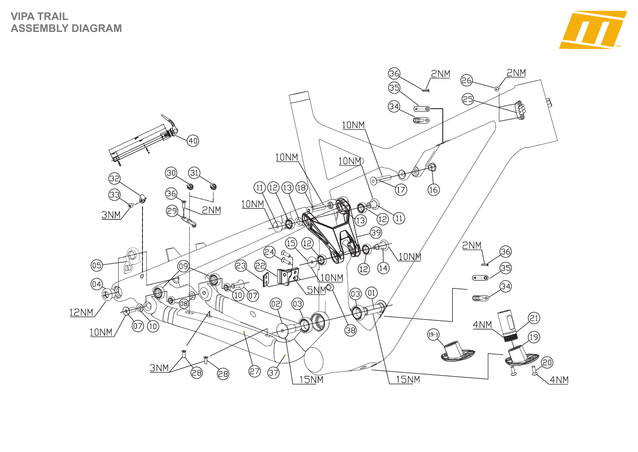